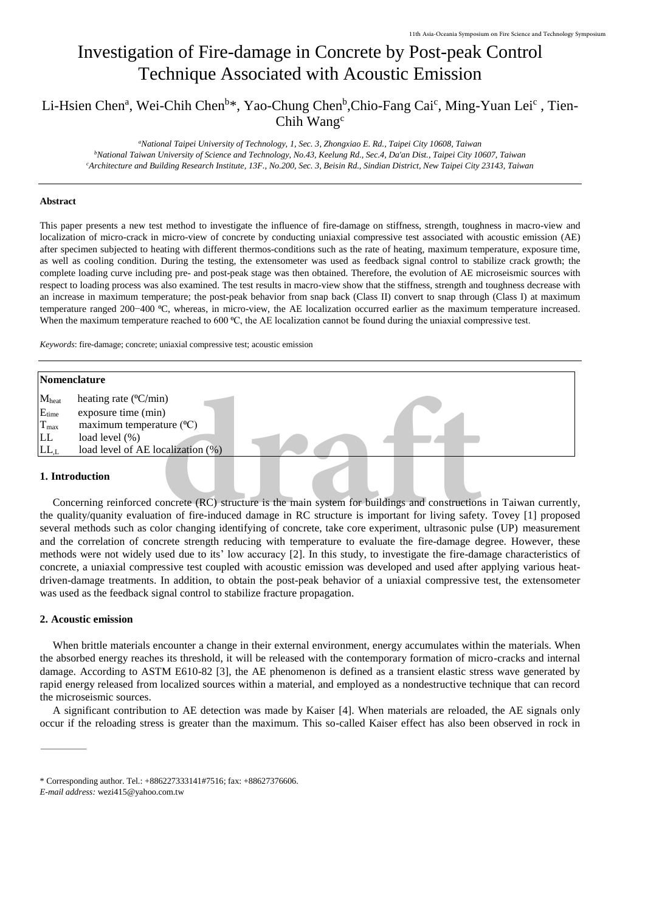# Investigation of Fire-damage in Concrete by Post-peak Control Technique Associated with Acoustic Emission

# Li-Hsien Chen<sup>a</sup>, Wei-Chih Chen<sup>b\*</sup>, Yao-Chung Chen<sup>b</sup>,Chio-Fang Cai<sup>c</sup>, Ming-Yuan Lei<sup>c</sup>, Tien-Chih Wang<sup>c</sup>

#### **Abstract**

| 11th Asia-Oceania Symposium on Fire Science and Technology Symposium                                                                                                                                                                                                                                                                                                                                                                                                                                                                                                                                                                                                                                                                                                                                                                                                                                                                                                                                                                                                                                                                                                                                                                                                                                                                                      |  |  |  |
|-----------------------------------------------------------------------------------------------------------------------------------------------------------------------------------------------------------------------------------------------------------------------------------------------------------------------------------------------------------------------------------------------------------------------------------------------------------------------------------------------------------------------------------------------------------------------------------------------------------------------------------------------------------------------------------------------------------------------------------------------------------------------------------------------------------------------------------------------------------------------------------------------------------------------------------------------------------------------------------------------------------------------------------------------------------------------------------------------------------------------------------------------------------------------------------------------------------------------------------------------------------------------------------------------------------------------------------------------------------|--|--|--|
| Investigation of Fire-damage in Concrete by Post-peak Control                                                                                                                                                                                                                                                                                                                                                                                                                                                                                                                                                                                                                                                                                                                                                                                                                                                                                                                                                                                                                                                                                                                                                                                                                                                                                             |  |  |  |
| <b>Technique Associated with Acoustic Emission</b>                                                                                                                                                                                                                                                                                                                                                                                                                                                                                                                                                                                                                                                                                                                                                                                                                                                                                                                                                                                                                                                                                                                                                                                                                                                                                                        |  |  |  |
| Li-Hsien Chen <sup>a</sup> , Wei-Chih Chen <sup>b*</sup> , Yao-Chung Chen <sup>b</sup> , Chio-Fang Cai <sup>c</sup> , Ming-Yuan Lei <sup>c</sup> , Tien-<br>Chih Wang <sup>c</sup>                                                                                                                                                                                                                                                                                                                                                                                                                                                                                                                                                                                                                                                                                                                                                                                                                                                                                                                                                                                                                                                                                                                                                                        |  |  |  |
| "National Taipei University of Technology, 1, Sec. 3, Zhongxiao E. Rd., Taipei City 10608, Taiwan<br><sup>b</sup> National Taiwan University of Science and Technology, No.43, Keelung Rd., Sec.4, Da'an Dist., Taipei City 10607, Taiwan<br><sup>c</sup> Architecture and Building Research Institute, 13F., No.200, Sec. 3, Beisin Rd., Sindian District, New Taipei City 23143, Taiwan                                                                                                                                                                                                                                                                                                                                                                                                                                                                                                                                                                                                                                                                                                                                                                                                                                                                                                                                                                 |  |  |  |
| <b>Abstract</b>                                                                                                                                                                                                                                                                                                                                                                                                                                                                                                                                                                                                                                                                                                                                                                                                                                                                                                                                                                                                                                                                                                                                                                                                                                                                                                                                           |  |  |  |
| This paper presents a new test method to investigate the influence of fire-damage on stiffness, strength, toughness in macro-view and<br>localization of micro-crack in micro-view of concrete by conducting uniaxial compressive test associated with acoustic emission (AE)<br>after specimen subjected to heating with different thermos-conditions such as the rate of heating, maximum temperature, exposure time,<br>as well as cooling condition. During the testing, the extensometer was used as feedback signal control to stabilize crack growth; the<br>complete loading curve including pre- and post-peak stage was then obtained. Therefore, the evolution of AE microseismic sources with<br>respect to loading process was also examined. The test results in macro-view show that the stiffness, strength and toughness decrease with<br>an increase in maximum temperature; the post-peak behavior from snap back (Class II) convert to snap through (Class I) at maximum<br>temperature ranged 200-400 °C, whereas, in micro-view, the AE localization occurred earlier as the maximum temperature increased.<br>When the maximum temperature reached to 600 $^{\circ}$ C, the AE localization cannot be found during the uniaxial compressive test.<br>Keywords: fire-damage; concrete; uniaxial compressive test; acoustic emission |  |  |  |
| Nomenclature                                                                                                                                                                                                                                                                                                                                                                                                                                                                                                                                                                                                                                                                                                                                                                                                                                                                                                                                                                                                                                                                                                                                                                                                                                                                                                                                              |  |  |  |
| Mheat<br>heating rate (°C/min)<br>$E_{time}$<br>exposure time (min)<br>maximum temperature $(^{0}C)$<br>$T_{\rm max}$<br>load level (%)<br>LL<br>$LL_{,L}$<br>load level of AE localization (%)                                                                                                                                                                                                                                                                                                                                                                                                                                                                                                                                                                                                                                                                                                                                                                                                                                                                                                                                                                                                                                                                                                                                                           |  |  |  |
| 1. Introduction                                                                                                                                                                                                                                                                                                                                                                                                                                                                                                                                                                                                                                                                                                                                                                                                                                                                                                                                                                                                                                                                                                                                                                                                                                                                                                                                           |  |  |  |
| Concerning reinforced concrete (RC) structure is the main system for buildings and constructions in Taiwan currently,<br>the quality/quanity evaluation of fire-induced damage in RC structure is important for living safety. Tovey [1] proposed<br>several methods such as color changing identifying of concrete, take core experiment, ultrasonic pulse (UP) measurement<br>and the correlation of concrete strength reducing with temperature to evaluate the fire-damage degree. However, these<br>methods were not widely used due to its' low accuracy [2]. In this study, to investigate the fire-damage characteristics of<br>concrete, a uniaxial compressive test coupled with acoustic emission was developed and used after applying various heat-<br>driven-damage treatments. In addition, to obtain the post-peak behavior of a uniaxial compressive test, the extensometer                                                                                                                                                                                                                                                                                                                                                                                                                                                              |  |  |  |

Concerning reinforced concrete (RC) structure is the main system for buildings and constructions in Taiwan currently, the quality/quanity evaluation of fire-induced damage in RC structure is important for living safety. Tovey [1] proposed several methods such as color changing identifying of concrete, take core experiment, ultrasonic pulse (UP) measurement and the correlation of concrete strength reducing with temperature to evaluate the fire-damage degree. However, these methods were not widely used due to its' low accuracy [2]. In this study, to investigate the fire-damage characteristics of concrete, a uniaxial compressive test coupled with acoustic emission was developed and used after applying various heatdriven-damage treatments. In addition, to obtain the post-peak behavior of a uniaxial compressive test, the extensometer was used as the feedback signal control to stabilize fracture propagation.

#### **2. Acoustic emission**

When brittle materials encounter a change in their external environment, energy accumulates within the materials. When the absorbed energy reaches its threshold, it will be released with the contemporary formation of micro-cracks and internal damage. According to ASTM E610-82 [3], the AE phenomenon is defined as a transient elastic stress wave generated by rapid energy released from localized sources within a material, and employed as a nondestructive technique that can record the microseismic sources.

A significant contribution to AE detection was made by Kaiser [4]. When materials are reloaded, the AE signals only occur if the reloading stress is greater than the maximum. This so-called Kaiser effect has also been observed in rock in

<sup>\*</sup> Corresponding author. Tel.: +886227333141#7516; fax: +88627376606.

*E-mail address:* wezi415@yahoo.com.tw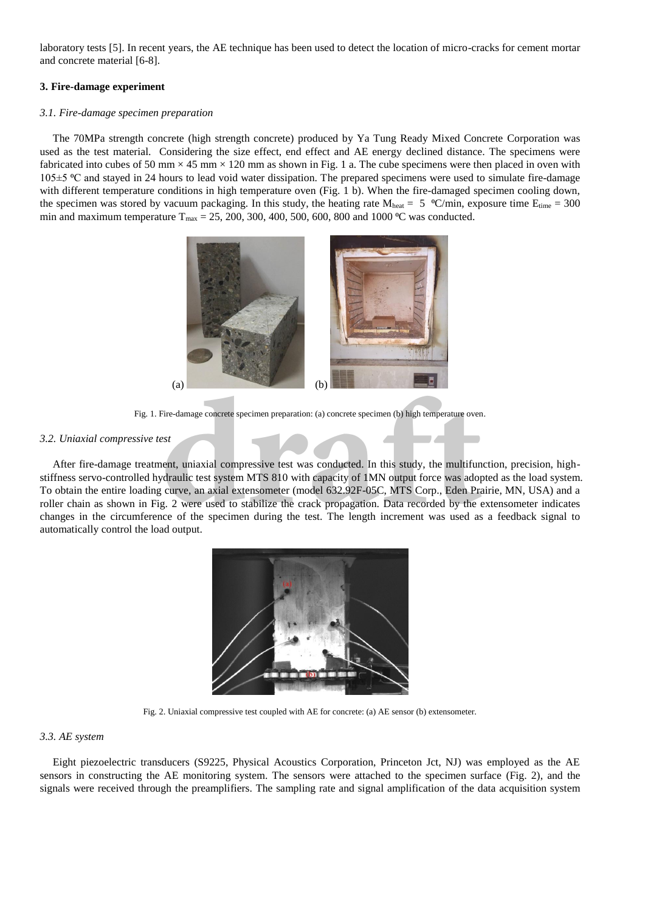laboratory tests [5]. In recent years, the AE technique has been used to detect the location of micro-cracks for cement mortar and concrete material [6-8].

# **3. Fire-damage experiment**

### *3.1. Fire-damage specimen preparation*

The 70MPa strength concrete (high strength concrete) produced by Ya Tung Ready Mixed Concrete Corporation was used as the test material. Considering the size effect, end effect and AE energy declined distance. The specimens were fabricated into cubes of 50 mm  $\times$  45 mm  $\times$  120 mm as shown in Fig. 1 a. The cube specimens were then placed in oven with 105±5 ⁰C and stayed in 24 hours to lead void water dissipation. The prepared specimens were used to simulate fire-damage with different temperature conditions in high temperature oven (Fig. 1 b). When the fire-damaged specimen cooling down, the specimen was stored by vacuum packaging. In this study, the heating rate  $M_{heat} = 5 \degree C/min$ , exposure time  $E_{time} = 300$ min and maximum temperature  $T_{\text{max}} = 25, 200, 300, 400, 500, 600, 800$  and 1000 °C was conducted.



Fig. 1. Fire-damage concrete specimen preparation: (a) concrete specimen (b) high temperature oven.

# *3.2. Uniaxial compressive test*

After fire-damage treatment, uniaxial compressive test was conducted. In this study, the multifunction, precision, highstiffness servo-controlled hydraulic test system MTS 810 with capacity of 1MN output force was adopted as the load system. To obtain the entire loading curve, an axial extensometer (model 632.92F-05C, MTS Corp., Eden Prairie, MN, USA) and a roller chain as shown in Fig. 2 were used to stabilize the crack propagation. Data recorded by the extensometer indicates changes in the circumference of the specimen during the test. The length increment was used as a feedback signal to automatically control the load output. (a) (b)<br>
The-damage concrete specimen preparation: (a) concrete specimen (b) high temperature oven<br>
gest<br>
gest<br>
dent, uniaxial compressive test was conducted. In this study, the multifund<br>
draulic test system MTS 810 with



Fig. 2. Uniaxial compressive test coupled with AE for concrete: (a) AE sensor (b) extensometer.

#### *3.3. AE system*

Eight piezoelectric transducers (S9225, Physical Acoustics Corporation, Princeton Jct, NJ) was employed as the AE sensors in constructing the AE monitoring system. The sensors were attached to the specimen surface (Fig. 2), and the signals were received through the preamplifiers. The sampling rate and signal amplification of the data acquisition system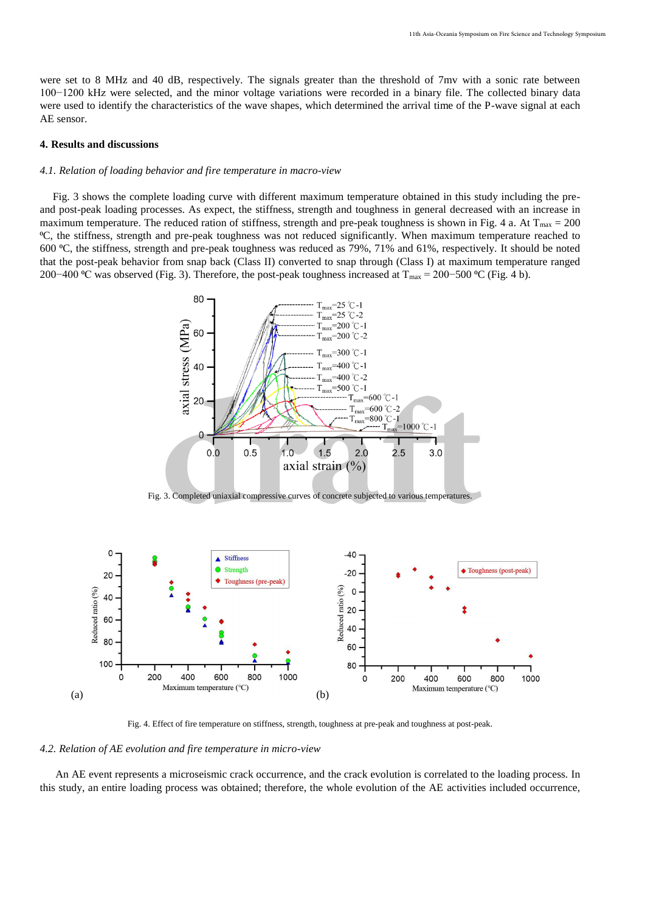were set to 8 MHz and 40 dB, respectively. The signals greater than the threshold of 7mv with a sonic rate between 100−1200 kHz were selected, and the minor voltage variations were recorded in a binary file. The collected binary data were used to identify the characteristics of the wave shapes, which determined the arrival time of the P-wave signal at each AE sensor.

#### **4. Results and discussions**

#### *4.1. Relation of loading behavior and fire temperature in macro-view*

Fig. 3 shows the complete loading curve with different maximum temperature obtained in this study including the preand post-peak loading processes. As expect, the stiffness, strength and toughness in general decreased with an increase in maximum temperature. The reduced ration of stiffness, strength and pre-peak toughness is shown in Fig. 4 a. At  $T_{\text{max}} = 200$ ⁰C, the stiffness, strength and pre-peak toughness was not reduced significantly. When maximum temperature reached to 600 ⁰C, the stiffness, strength and pre-peak toughness was reduced as 79%, 71% and 61%, respectively. It should be noted that the post-peak behavior from snap back (Class II) converted to snap through (Class I) at maximum temperature ranged 200−400 °C was observed (Fig. 3). Therefore, the post-peak toughness increased at T<sub>max</sub> = 200−500 °C (Fig. 4 b).



Fig. 3. Completed uniaxial compressive curves of concrete subjected to various temperatures.



Fig. 4. Effect of fire temperature on stiffness, strength, toughness at pre-peak and toughness at post-peak.

*4.2. Relation of AE evolution and fire temperature in micro-view*

An AE event represents a microseismic crack occurrence, and the crack evolution is correlated to the loading process. In this study, an entire loading process was obtained; therefore, the whole evolution of the AE activities included occurrence,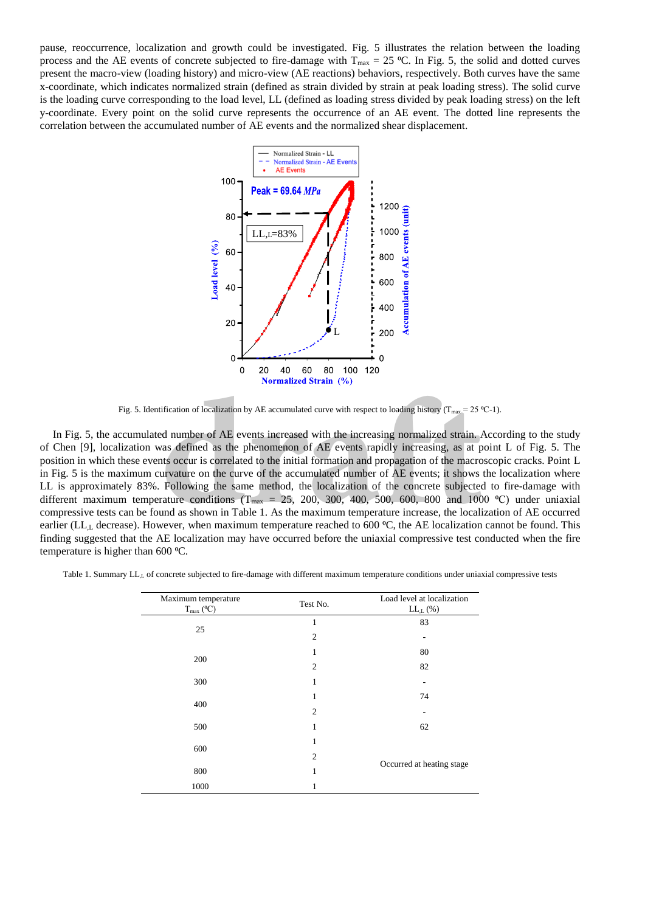pause, reoccurrence, localization and growth could be investigated. Fig. 5 illustrates the relation between the loading process and the AE events of concrete subjected to fire-damage with  $T_{\text{max}} = 25 \text{ °C}$ . In Fig. 5, the solid and dotted curves present the macro-view (loading history) and micro-view (AE reactions) behaviors, respectively. Both curves have the same x-coordinate, which indicates normalized strain (defined as strain divided by strain at peak loading stress). The solid curve is the loading curve corresponding to the load level, LL (defined as loading stress divided by peak loading stress) on the left y-coordinate. Every point on the solid curve represents the occurrence of an AE event. The dotted line represents the correlation between the accumulated number of AE events and the normalized shear displacement.



Fig. 5. Identification of localization by AE accumulated curve with respect to loading history ( $T_{\text{max}} = 25 \text{ °C-1}$ ).

In Fig. 5, the accumulated number of AE events increased with the increasing normalized strain. According to the study of Chen [9], localization was defined as the phenomenon of AE events rapidly increasing, as at point L of Fig. 5. The position in which these events occur is correlated to the initial formation and propagation of the macroscopic cracks. Point L in Fig. 5 is the maximum curvature on the curve of the accumulated number of AE events; it shows the localization where LL is approximately 83%. Following the same method, the localization of the concrete subjected to fire-damage with different maximum temperature conditions ( $T_{\text{max}} = 25, 200, 300, 400, 500, 600, 800$  and 1000 °C) under uniaxial compressive tests can be found as shown in Table 1. As the maximum temperature increase, the localization of AE occurred earlier (LL<sub>L</sub> decrease). However, when maximum temperature reached to 600  $\degree$ C, the AE localization cannot be found. This finding suggested that the AE localization may have occurred before the uniaxial compressive test conducted when the fire temperature is higher than 600 °C. **Normalized Strain** (%)<br>
ification of localization by AE accumulated curve with respect to loading history ( $T_{max} = 25$  ord number of AE events increased with the increasing normalized strain. *A* cas defined as the phenom

Table 1. Summary LL<sub>L</sub> of concrete subjected to fire-damage with different maximum temperature conditions under uniaxial compressive tests

| Maximum temperature<br>$T_{max}$ (°C) | Test No.       | Load level at localization<br>$LL_{,L}$ (%) |
|---------------------------------------|----------------|---------------------------------------------|
| 25                                    | 1              | 83                                          |
|                                       | $\overline{2}$ |                                             |
| 200                                   | 1              | 80                                          |
|                                       | $\overline{2}$ | 82                                          |
| 300                                   | 1              |                                             |
| 400                                   |                | 74                                          |
|                                       | $\overline{c}$ |                                             |
| 500                                   | 1              | 62                                          |
| 600                                   | 1              |                                             |
|                                       | 2              | Occurred at heating stage                   |
| 800                                   | 1              |                                             |
| 1000                                  | 1              |                                             |